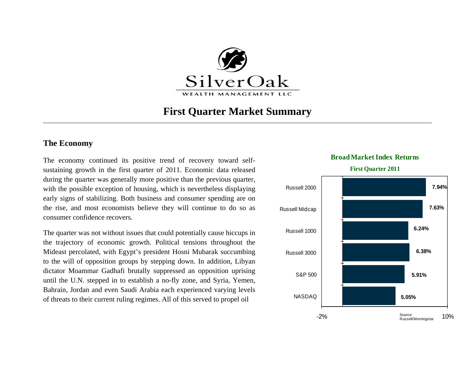

# **First Quarter Market Summary**

## **The Economy**

The economy continued its positive trend of recovery toward selfsustaining growth in the first quarter of 2011. Economic data released during the quarter was generally more positive than the previous quarter, with the possible exception of housing, which is nevertheless displaying early signs of stabilizing. Both business and consumer spending are on the rise, and most economists believe they will continue to do so as consumer confidence recovers.

The quarter was not without issues that could potentially cause hiccups in the trajectory of economic growth. Political tensions throughout the Mideast percolated, with Egypt's president Hosni Mubarak succumbing to the will of opposition groups by stepping down. In addition, Libyan dictator Moammar Gadhafi brutally suppressed an opposition uprising until the U.N. stepped in to establish a no-fly zone, and Syria, Yemen, Bahrain, Jordan and even Saudi Arabia each experienced varying levels of threats to their current ruling regimes. All of this served to propel oil **5.05%**



### **Broad Market Index Returns**

**First Quarter 2011**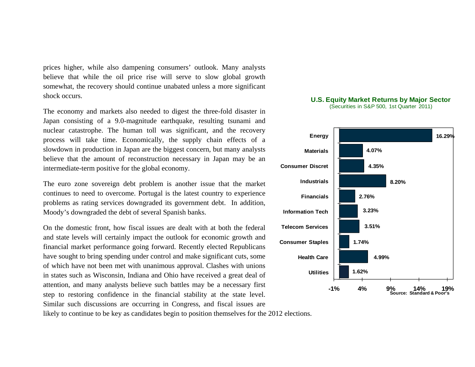prices higher, while also dampening consumers' outlook. Many analysts believe that while the oil price rise will serve to slow global growth somewhat, the recovery should continue unabated unless a more significant shock occurs.

The economy and markets also needed to digest the three-fold disaster in Japan consisting of a 9.0-magnitude earthquake, resulting tsunami and nuclear catastrophe. The human toll was significant, and the recovery process will take time. Economically, the supply chain effects of a slowdown in production in Japan are the biggest concern, but many analysts believe that the amount of reconstruction necessary in Japan may be an intermediate-term positive for the global economy.

The euro zone sovereign debt problem is another issue that the market continues to need to overcome. Portugal is the latest country to experience problems as rating services downgraded its government debt. In addition, Moody's downgraded the debt of several Spanish banks.

On the domestic front, how fiscal issues are dealt with at both the federal and state levels will certainly impact the outlook for economic growth and financial market performance going forward. Recently elected Republicans have sought to bring spending under control and make significant cuts, some of which have not been met with unanimous approval. Clashes with unions in states such as Wisconsin, Indiana and Ohio have received a great deal of attention, and many analysts believe such battles may be a necessary first step to restoring confidence in the financial stability at the state level. Similar such discussions are occurring in Congress, and fiscal issues are





#### **U.S. Equity Market Returns by Major Sector**  (Securities in S&P 500, 1st Quarter 2011)

likely to continue to be key as candidates begin to position themselves for the 2012 elections.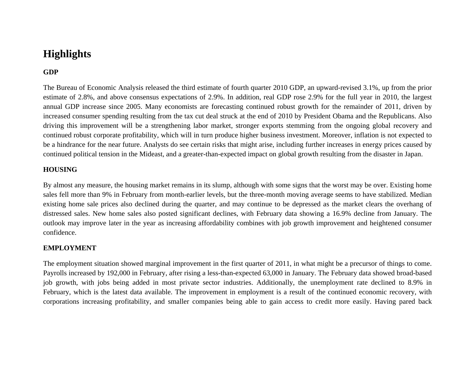# **Highlights**

## **GDP**

The Bureau of Economic Analysis released the third estimate of fourth quarter 2010 GDP, an upward-revised 3.1%, up from the prior estimate of 2.8%, and above consensus expectations of 2.9%. In addition, real GDP rose 2.9% for the full year in 2010, the largest annual GDP increase since 2005. Many economists are forecasting continued robust growth for the remainder of 2011, driven by increased consumer spending resulting from the tax cut deal struck at the end of 2010 by President Obama and the Republicans. Also driving this improvement will be a strengthening labor market, stronger exports stemming from the ongoing global recovery and continued robust corporate profitability, which will in turn produce higher business investment. Moreover, inflation is not expected to be a hindrance for the near future. Analysts do see certain risks that might arise, including further increases in energy prices caused by continued political tension in the Mideast, and a greater-than-expected impact on global growth resulting from the disaster in Japan.

## **HOUSING**

By almost any measure, the housing market remains in its slump, although with some signs that the worst may be over. Existing home sales fell more than 9% in February from month-earlier levels, but the three-month moving average seems to have stabilized. Median existing home sale prices also declined during the quarter, and may continue to be depressed as the market clears the overhang of distressed sales. New home sales also posted significant declines, with February data showing a 16.9% decline from January. The outlook may improve later in the year as increasing affordability combines with job growth improvement and heightened consumer confidence.

### **EMPLOYMENT**

The employment situation showed marginal improvement in the first quarter of 2011, in what might be a precursor of things to come. Payrolls increased by 192,000 in February, after rising a less-than-expected 63,000 in January. The February data showed broad-based job growth, with jobs being added in most private sector industries. Additionally, the unemployment rate declined to 8.9% in February, which is the latest data available. The improvement in employment is a result of the continued economic recovery, with corporations increasing profitability, and smaller companies being able to gain access to credit more easily. Having pared back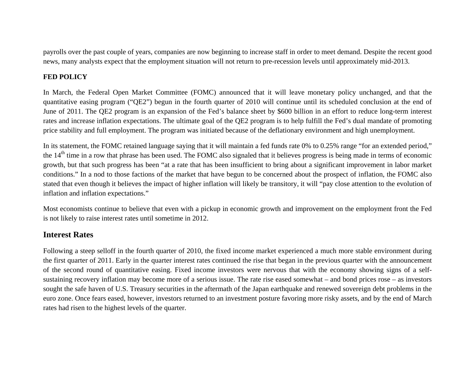payrolls over the past couple of years, companies are now beginning to increase staff in order to meet demand. Despite the recent good news, many analysts expect that the employment situation will not return to pre-recession levels until approximately mid-2013.

## **FED POLICY**

In March, the Federal Open Market Committee (FOMC) announced that it will leave monetary policy unchanged, and that the quantitative easing program ("QE2") begun in the fourth quarter of 2010 will continue until its scheduled conclusion at the end of June of 2011. The QE2 program is an expansion of the Fed's balance sheet by \$600 billion in an effort to reduce long-term interest rates and increase inflation expectations. The ultimate goal of the QE2 program is to help fulfill the Fed's dual mandate of promoting price stability and full employment. The program was initiated because of the deflationary environment and high unemployment.

In its statement, the FOMC retained language saying that it will maintain a fed funds rate 0% to 0.25% range "for an extended period," the 14<sup>th</sup> time in a row that phrase has been used. The FOMC also signaled that it believes progress is being made in terms of economic growth, but that such progress has been "at a rate that has been insufficient to bring about a significant improvement in labor market conditions." In a nod to those factions of the market that have begun to be concerned about the prospect of inflation, the FOMC also stated that even though it believes the impact of higher inflation will likely be transitory, it will "pay close attention to the evolution of inflation and inflation expectations."

Most economists continue to believe that even with a pickup in economic growth and improvement on the employment front the Fed is not likely to raise interest rates until sometime in 2012.

## **Interest Rates**

Following a steep selloff in the fourth quarter of 2010, the fixed income market experienced a much more stable environment during the first quarter of 2011. Early in the quarter interest rates continued the rise that began in the previous quarter with the announcement of the second round of quantitative easing. Fixed income investors were nervous that with the economy showing signs of a selfsustaining recovery inflation may become more of a serious issue. The rate rise eased somewhat – and bond prices rose – as investors sought the safe haven of U.S. Treasury securities in the aftermath of the Japan earthquake and renewed sovereign debt problems in the euro zone. Once fears eased, however, investors returned to an investment posture favoring more risky assets, and by the end of March rates had risen to the highest levels of the quarter.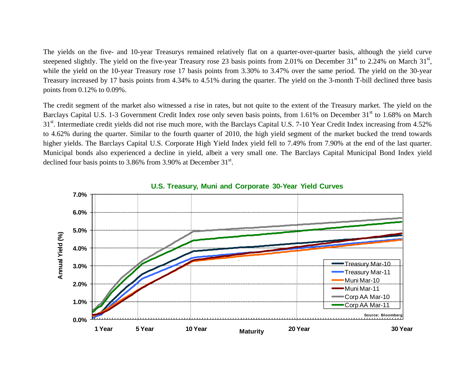The yields on the five- and 10-year Treasurys remained relatively flat on a quarter-over-quarter basis, although the yield curve steepened slightly. The yield on the five-year Treasury rose 23 basis points from 2.01% on December  $31<sup>st</sup>$  to 2.24% on March  $31<sup>st</sup>$ , while the yield on the 10-year Treasury rose 17 basis points from 3.30% to 3.47% over the same period. The yield on the 30-year Treasury increased by 17 basis points from 4.34% to 4.51% during the quarter. The yield on the 3-month T-bill declined three basis points from 0.12% to 0.09%.

The credit segment of the market also witnessed a rise in rates, but not quite to the extent of the Treasury market. The yield on the Barclays Capital U.S. 1-3 Government Credit Index rose only seven basis points, from 1.61% on December 31<sup>st</sup> to 1.68% on March 31<sup>st</sup>. Intermediate credit yields did not rise much more, with the Barclays Capital U.S. 7-10 Year Credit Index increasing from 4.52% to 4.62% during the quarter. Similar to the fourth quarter of 2010, the high yield segment of the market bucked the trend towards higher yields. The Barclays Capital U.S. Corporate High Yield Index yield fell to 7.49% from 7.90% at the end of the last quarter. Municipal bonds also experienced a decline in yield, albeit a very small one. The Barclays Capital Municipal Bond Index yield declined four basis points to  $3.86\%$  from  $3.90\%$  at December  $31<sup>st</sup>$ .